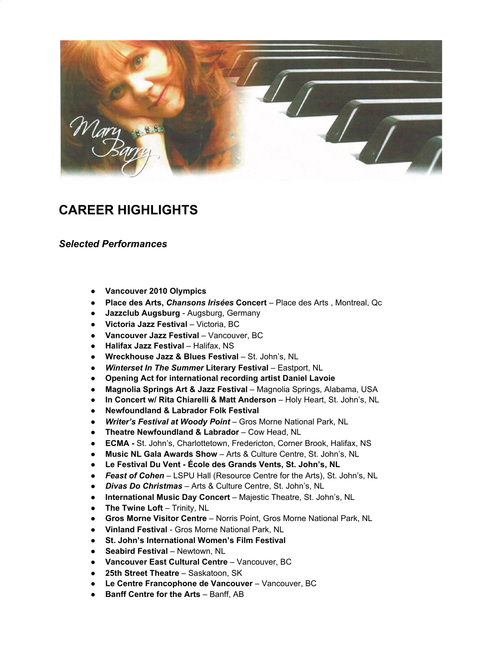

## **CAREER HIGHLIGHTS**

## *Selected Performances*

- **Vancouver 2010 Olympics**
- **● Place des Arts,** *Chansons Irisées* **Concert** Place des Arts , Montreal, Qc
- **Jazzclub Augsburg** Augsburg, Germany
- **Victoria Jazz Festival** Victoria, BC
- **Vancouver Jazz Festival** Vancouver, BC
- **Halifax Jazz Festival** Halifax, NS
- **Wreckhouse Jazz & Blues Festival** St. John's, NL
- *Winterset In The Summer* **Literary Festival** Eastport, NL
- **Opening Act for international recording artist Daniel Lavoie**
- **Magnolia Springs Art & Jazz Festival** Magnolia Springs, Alabama, USA
- **In Concert w/ Rita Chiarelli & Matt Anderson** Holy Heart, St. John's, NL
- **Newfoundland & Labrador Folk Festival**
- *Writer's Festival at Woody Point* Gros Morne National Park, NL
- **Theatre Newfoundland & Labrador** Cow Head, NL
- **ECMA -** St. John's, Charlottetown, Fredericton, Corner Brook, Halifax, NS
- **Music NL Gala Awards Show** Arts & Culture Centre, St. John's, NL
- **Le Festival Du Vent - École des Grands Vents, St. John's, NL**
- *Feast of Cohen* LSPU Hall (Resource Centre for the Arts), St. John's, NL
- *Divas Do Christmas* Arts & Culture Centre, St. John's, NL
- **International Music Day Concert** Majestic Theatre, St. John's, NL
- **The Twine Loft** Trinity, NL
- **Gros Morne Visitor Centre** Norris Point, Gros Morne National Park, NL
- **Vinland Festival** Gros Morne National Park, NL
- **St. John's International Women's Film Festival**
- **Seabird Festival** Newtown, NL
- **Vancouver East Cultural Centre** Vancouver, BC
- **25th Street Theatre** Saskatoon, SK
- **Le Centre Francophone de Vancouver** Vancouver, BC
- **Banff Centre for the Arts** Banff, AB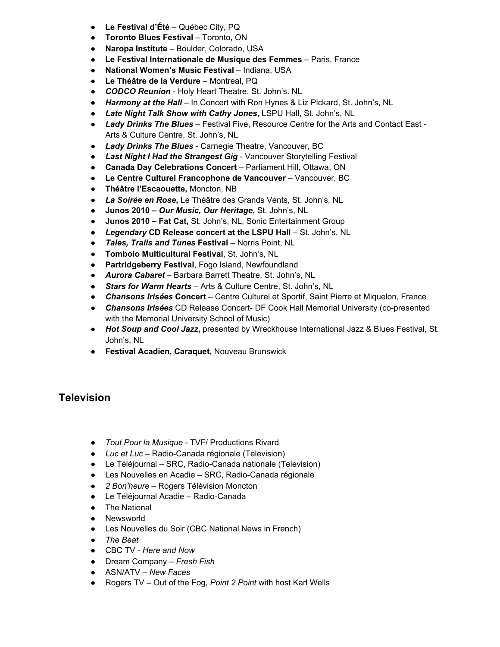- **Le Festival d'Été** Québec City, PQ
- **Toronto Blues Festival** Toronto, ON
- **Naropa Institute** Boulder, Colorado, USA
- **Le Festival Internationale de Musique des Femmes** Paris, France
- **National Women's Music Festival** Indiana, USA
- **Le Théâtre de la Verdure** Montreal, PQ
- *CODCO Reunion* Holy Heart Theatre, St. John's. NL
- *Harmony at the Hall* In Concert with Ron Hynes & Liz Pickard, St. John's, NL
- *Late Night Talk Show with Cathy Jones*, LSPU Hall, St. John's, NL
- *Lady Drinks The Blues* Festival Five, Resource Centre for the Arts and Contact East Arts & Culture Centre, St. John's, NL
- *Lady Drinks The Blues* Carnegie Theatre, Vancouver, BC
- *Last Night I Had the Strangest Gig* Vancouver Storytelling Festival
- **Canada Day Celebrations Concert** Parliament Hill, Ottawa, ON
- **Le Centre Culturel Francophone de Vancouver** Vancouver, BC
- **Théâtre l'Escaouette,** Moncton, NB
- *La Soirée en Rose***,** Le Théâtre des Grands Vents, St. John's, NL
- **Junos 2010 –** *Our Music, Our Heritage***,** St. John's, NL
- **Junos 2010 – Fat Cat,** St. John's, NL, Sonic Entertainment Group
- *Legendary* **CD Release concert at the LSPU Hall** St. John's, NL
- *Tales, Trails and Tunes* **Festival** Norris Point, NL
- **Tombolo Multicultural Festival**, St. John's, NL
- **Partridgeberry Festival**, Fogo Island, Newfoundland
- *Aurora Cabaret* Barbara Barrett Theatre, St. John's, NL
- *Stars for Warm Hearts* Arts & Culture Centre, St. John's, NL
- *Chansons Irisées* **Concert** Centre Culturel et Sportif, Saint Pierre et Miquelon, France
- *Chansons Irisées* CD Release Concert- DF Cook Hall Memorial University (co-presented with the Memorial University School of Music)
- *Hot Soup and Cool Jazz***,** presented by Wreckhouse International Jazz & Blues Festival, St. John's, NL
- **Festival Acadien, Caraquet,** Nouveau Brunswick

## **Television**

- *Tout Pour la Musique* TVF/ Productions Rivard
- *Luc et Luc* Radio-Canada régionale (Television)
- Le Téléjournal SRC, Radio-Canada nationale (Television)
- Les Nouvelles en Acadie SRC, Radio-Canada régionale
- *2 Bon'heure* Rogers Télévision Moncton
- Le Téléjournal Acadie Radio-Canada
- The National
- Newsworld
- Les Nouvelles du Soir (CBC National News in French)
- *● The Beat*
- CBC TV *Here and Now*
- Dream Company *Fresh Fish*
- ASN/ATV *New Faces*
- Rogers TV Out of the Fog, *Point 2 Point* with host Karl Wells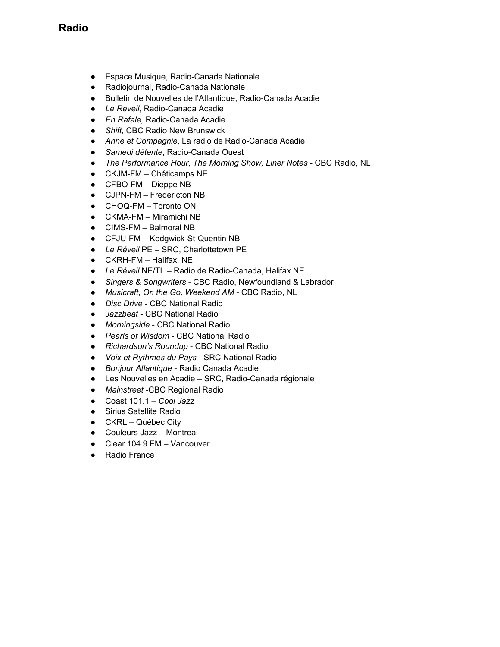- Espace Musique, Radio-Canada Nationale
- Radiojournal, Radio-Canada Nationale
- Bulletin de Nouvelles de l'Atlantique, Radio-Canada Acadie
- *Le Reveil*, Radio-Canada Acadie
- *En Rafale,* Radio-Canada Acadie
- *Shift,* CBC Radio New Brunswick
- *Anne et Compagnie*, La radio de Radio-Canada Acadie
- *Samedi détente*, Radio-Canada Ouest
- *The Performance Hour*, *The Morning Show, Liner Notes* CBC Radio, NL
- CKJM-FM Chéticamps NE
- CFBO-FM Dieppe NB
- CJPN-FM Fredericton NB
- CHOQ-FM Toronto ON
- CKMA-FM Miramichi NB
- CIMS-FM Balmoral NB
- CFJU-FM Kedgwick-St-Quentin NB
- *Le Réveil* PE SRC, Charlottetown PE
- $\bullet$  CKRH-FM Halifax, NE
- *Le Réveil* NE/TL Radio de Radio-Canada, Halifax NE
- *● Singers & Songwriters* CBC Radio, Newfoundland & Labrador
- *● Musicraft*, *On the Go, Weekend AM* CBC Radio, NL
- *● Disc Drive* CBC National Radio
- *● Jazzbeat* CBC National Radio
- *● Morningside* CBC National Radio
- *● Pearls of Wisdom* CBC National Radio
- *● Richardson's Roundup* CBC National Radio
- *● Voix et Rythmes du Pays* SRC National Radio
- *● Bonjour Atlantique* Radio Canada Acadie
- *●* Les Nouvelles en Acadie SRC, Radio-Canada régionale
- *● Mainstreet* -CBC Regional Radio
- Coast 101.1 *Cool Jazz*
- Sirius Satellite Radio
- CKRL Québec City
- Couleurs Jazz Montreal
- Clear 104.9 FM Vancouver
- **Radio France**